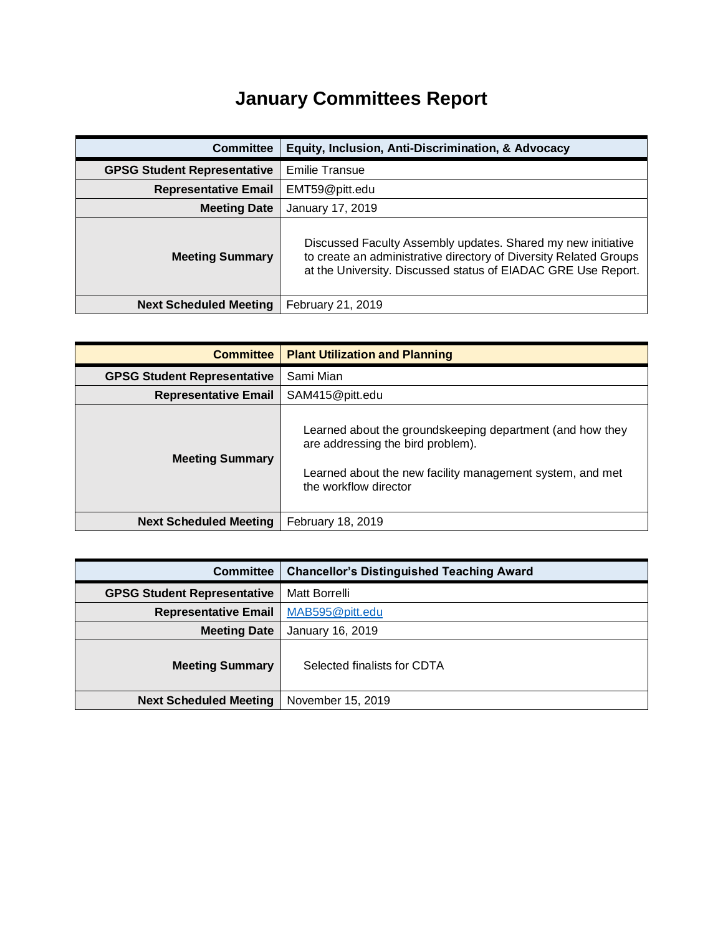## **January Committees Report**

| <b>Committee</b>                   | Equity, Inclusion, Anti-Discrimination, & Advocacy                                                                                                                                                 |
|------------------------------------|----------------------------------------------------------------------------------------------------------------------------------------------------------------------------------------------------|
| <b>GPSG Student Representative</b> | <b>Emilie Transue</b>                                                                                                                                                                              |
| <b>Representative Email</b>        | EMT59@pitt.edu                                                                                                                                                                                     |
| <b>Meeting Date</b>                | January 17, 2019                                                                                                                                                                                   |
| <b>Meeting Summary</b>             | Discussed Faculty Assembly updates. Shared my new initiative<br>to create an administrative directory of Diversity Related Groups<br>at the University. Discussed status of EIADAC GRE Use Report. |
| <b>Next Scheduled Meeting</b>      | February 21, 2019                                                                                                                                                                                  |

| <b>Committee</b>                   | <b>Plant Utilization and Planning</b>                                                                                                                                                |
|------------------------------------|--------------------------------------------------------------------------------------------------------------------------------------------------------------------------------------|
| <b>GPSG Student Representative</b> | Sami Mian                                                                                                                                                                            |
| <b>Representative Email</b>        | SAM415@pitt.edu                                                                                                                                                                      |
| <b>Meeting Summary</b>             | Learned about the groundskeeping department (and how they<br>are addressing the bird problem).<br>Learned about the new facility management system, and met<br>the workflow director |
| <b>Next Scheduled Meeting</b>      | February 18, 2019                                                                                                                                                                    |

| <b>Committee</b>                   | <b>Chancellor's Distinguished Teaching Award</b> |
|------------------------------------|--------------------------------------------------|
| <b>GPSG Student Representative</b> | Matt Borrelli                                    |
| <b>Representative Email</b>        | MAB595@pitt.edu                                  |
| <b>Meeting Date</b>                | January 16, 2019                                 |
| <b>Meeting Summary</b>             | Selected finalists for CDTA                      |
| <b>Next Scheduled Meeting</b>      | November 15, 2019                                |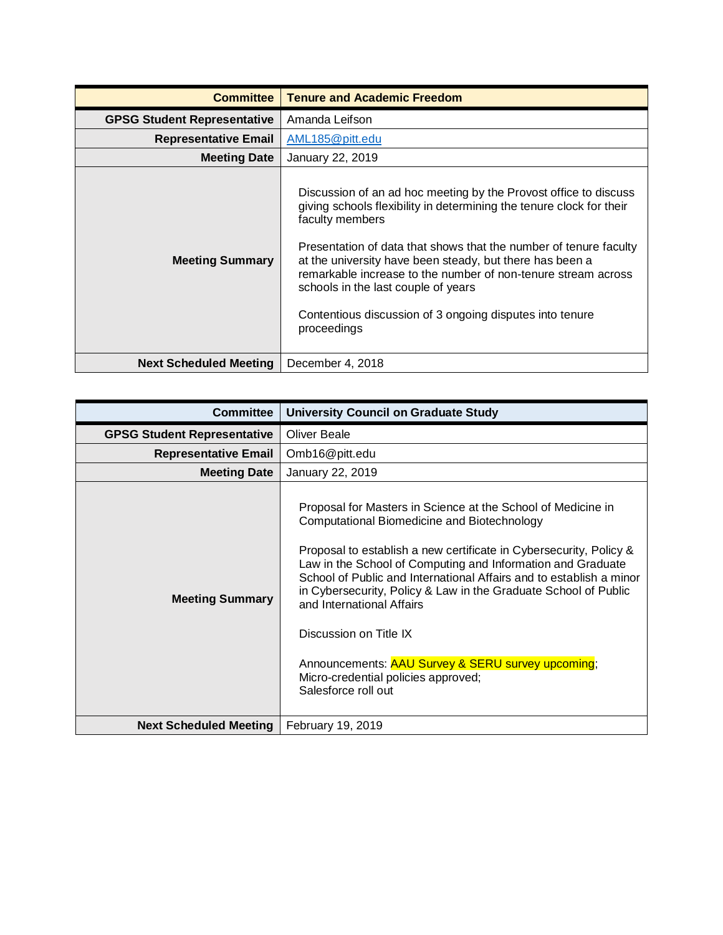| <b>Committee</b>                   | <b>Tenure and Academic Freedom</b>                                                                                                                                                                                                                                                                                                                                                                                                                                              |
|------------------------------------|---------------------------------------------------------------------------------------------------------------------------------------------------------------------------------------------------------------------------------------------------------------------------------------------------------------------------------------------------------------------------------------------------------------------------------------------------------------------------------|
| <b>GPSG Student Representative</b> | Amanda Leifson                                                                                                                                                                                                                                                                                                                                                                                                                                                                  |
| <b>Representative Email</b>        | AML185@pitt.edu                                                                                                                                                                                                                                                                                                                                                                                                                                                                 |
| <b>Meeting Date</b>                | January 22, 2019                                                                                                                                                                                                                                                                                                                                                                                                                                                                |
| <b>Meeting Summary</b>             | Discussion of an ad hoc meeting by the Provost office to discuss<br>giving schools flexibility in determining the tenure clock for their<br>faculty members<br>Presentation of data that shows that the number of tenure faculty<br>at the university have been steady, but there has been a<br>remarkable increase to the number of non-tenure stream across<br>schools in the last couple of years<br>Contentious discussion of 3 ongoing disputes into tenure<br>proceedings |
| <b>Next Scheduled Meeting</b>      | December 4, 2018                                                                                                                                                                                                                                                                                                                                                                                                                                                                |

| <b>Committee</b>                   | <b>University Council on Graduate Study</b>                                                                                                                                                                                                                                                                                                                                                                                                                                                                                                                          |
|------------------------------------|----------------------------------------------------------------------------------------------------------------------------------------------------------------------------------------------------------------------------------------------------------------------------------------------------------------------------------------------------------------------------------------------------------------------------------------------------------------------------------------------------------------------------------------------------------------------|
| <b>GPSG Student Representative</b> | Oliver Beale                                                                                                                                                                                                                                                                                                                                                                                                                                                                                                                                                         |
| <b>Representative Email</b>        | Omb16@pitt.edu                                                                                                                                                                                                                                                                                                                                                                                                                                                                                                                                                       |
| <b>Meeting Date</b>                | January 22, 2019                                                                                                                                                                                                                                                                                                                                                                                                                                                                                                                                                     |
| <b>Meeting Summary</b>             | Proposal for Masters in Science at the School of Medicine in<br>Computational Biomedicine and Biotechnology<br>Proposal to establish a new certificate in Cybersecurity, Policy &<br>Law in the School of Computing and Information and Graduate<br>School of Public and International Affairs and to establish a minor<br>in Cybersecurity, Policy & Law in the Graduate School of Public<br>and International Affairs<br>Discussion on Title IX<br>Announcements: AAU Survey & SERU survey upcoming;<br>Micro-credential policies approved;<br>Salesforce roll out |
| <b>Next Scheduled Meeting</b>      | February 19, 2019                                                                                                                                                                                                                                                                                                                                                                                                                                                                                                                                                    |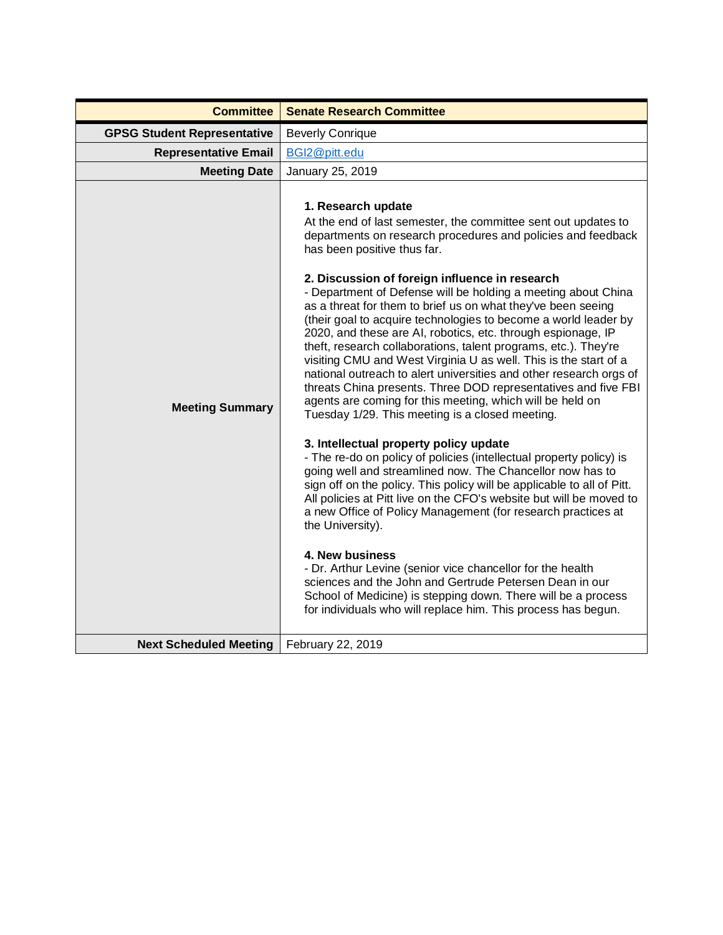| <b>Committee</b>                   | <b>Senate Research Committee</b>                                                                                                                                                                                                                                                                                                                                                                                                                                                                                                                                                                                                                                                                                                                                                                                                                                                                                                                                                                                                                                                                                                                                                                                                                                                                                                                                                                                                                                                                                                                                                                          |
|------------------------------------|-----------------------------------------------------------------------------------------------------------------------------------------------------------------------------------------------------------------------------------------------------------------------------------------------------------------------------------------------------------------------------------------------------------------------------------------------------------------------------------------------------------------------------------------------------------------------------------------------------------------------------------------------------------------------------------------------------------------------------------------------------------------------------------------------------------------------------------------------------------------------------------------------------------------------------------------------------------------------------------------------------------------------------------------------------------------------------------------------------------------------------------------------------------------------------------------------------------------------------------------------------------------------------------------------------------------------------------------------------------------------------------------------------------------------------------------------------------------------------------------------------------------------------------------------------------------------------------------------------------|
| <b>GPSG Student Representative</b> | <b>Beverly Conrique</b>                                                                                                                                                                                                                                                                                                                                                                                                                                                                                                                                                                                                                                                                                                                                                                                                                                                                                                                                                                                                                                                                                                                                                                                                                                                                                                                                                                                                                                                                                                                                                                                   |
| <b>Representative Email</b>        | BGI2@pitt.edu                                                                                                                                                                                                                                                                                                                                                                                                                                                                                                                                                                                                                                                                                                                                                                                                                                                                                                                                                                                                                                                                                                                                                                                                                                                                                                                                                                                                                                                                                                                                                                                             |
| <b>Meeting Date</b>                | January 25, 2019                                                                                                                                                                                                                                                                                                                                                                                                                                                                                                                                                                                                                                                                                                                                                                                                                                                                                                                                                                                                                                                                                                                                                                                                                                                                                                                                                                                                                                                                                                                                                                                          |
| <b>Meeting Summary</b>             | 1. Research update<br>At the end of last semester, the committee sent out updates to<br>departments on research procedures and policies and feedback<br>has been positive thus far.<br>2. Discussion of foreign influence in research<br>- Department of Defense will be holding a meeting about China<br>as a threat for them to brief us on what they've been seeing<br>(their goal to acquire technologies to become a world leader by<br>2020, and these are AI, robotics, etc. through espionage, IP<br>theft, research collaborations, talent programs, etc.). They're<br>visiting CMU and West Virginia U as well. This is the start of a<br>national outreach to alert universities and other research orgs of<br>threats China presents. Three DOD representatives and five FBI<br>agents are coming for this meeting, which will be held on<br>Tuesday 1/29. This meeting is a closed meeting.<br>3. Intellectual property policy update<br>- The re-do on policy of policies (intellectual property policy) is<br>going well and streamlined now. The Chancellor now has to<br>sign off on the policy. This policy will be applicable to all of Pitt.<br>All policies at Pitt live on the CFO's website but will be moved to<br>a new Office of Policy Management (for research practices at<br>the University).<br>4. New business<br>- Dr. Arthur Levine (senior vice chancellor for the health<br>sciences and the John and Gertrude Petersen Dean in our<br>School of Medicine) is stepping down. There will be a process<br>for individuals who will replace him. This process has begun. |
| <b>Next Scheduled Meeting</b>      | February 22, 2019                                                                                                                                                                                                                                                                                                                                                                                                                                                                                                                                                                                                                                                                                                                                                                                                                                                                                                                                                                                                                                                                                                                                                                                                                                                                                                                                                                                                                                                                                                                                                                                         |